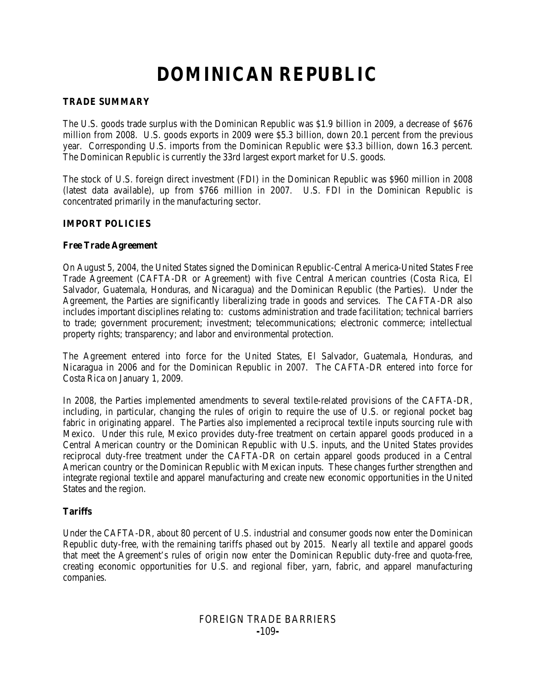# **DOMINICAN REPUBLIC**

#### **TRADE SUMMARY**

The U.S. goods trade surplus with the Dominican Republic was \$1.9 billion in 2009, a decrease of \$676 million from 2008. U.S. goods exports in 2009 were \$5.3 billion, down 20.1 percent from the previous year. Corresponding U.S. imports from the Dominican Republic were \$3.3 billion, down 16.3 percent. The Dominican Republic is currently the 33rd largest export market for U.S. goods.

The stock of U.S. foreign direct investment (FDI) in the Dominican Republic was \$960 million in 2008 (latest data available), up from \$766 million in 2007. U.S. FDI in the Dominican Republic is concentrated primarily in the manufacturing sector.

## **IMPORT POLICIES**

#### **Free Trade Agreement**

On August 5, 2004, the United States signed the Dominican Republic-Central America-United States Free Trade Agreement (CAFTA-DR or Agreement) with five Central American countries (Costa Rica, El Salvador, Guatemala, Honduras, and Nicaragua) and the Dominican Republic (the Parties). Under the Agreement, the Parties are significantly liberalizing trade in goods and services. The CAFTA-DR also includes important disciplines relating to: customs administration and trade facilitation; technical barriers to trade; government procurement; investment; telecommunications; electronic commerce; intellectual property rights; transparency; and labor and environmental protection.

The Agreement entered into force for the United States, El Salvador, Guatemala, Honduras, and Nicaragua in 2006 and for the Dominican Republic in 2007. The CAFTA-DR entered into force for Costa Rica on January 1, 2009.

In 2008, the Parties implemented amendments to several textile-related provisions of the CAFTA-DR, including, in particular, changing the rules of origin to require the use of U.S. or regional pocket bag fabric in originating apparel. The Parties also implemented a reciprocal textile inputs sourcing rule with Mexico. Under this rule, Mexico provides duty-free treatment on certain apparel goods produced in a Central American country or the Dominican Republic with U.S. inputs, and the United States provides reciprocal duty-free treatment under the CAFTA-DR on certain apparel goods produced in a Central American country or the Dominican Republic with Mexican inputs. These changes further strengthen and integrate regional textile and apparel manufacturing and create new economic opportunities in the United States and the region.

#### **Tariffs**

Under the CAFTA-DR, about 80 percent of U.S. industrial and consumer goods now enter the Dominican Republic duty-free, with the remaining tariffs phased out by 2015. Nearly all textile and apparel goods that meet the Agreement's rules of origin now enter the Dominican Republic duty-free and quota-free, creating economic opportunities for U.S. and regional fiber, yarn, fabric, and apparel manufacturing companies.

## FOREIGN TRADE BARRIERS **-**109**-**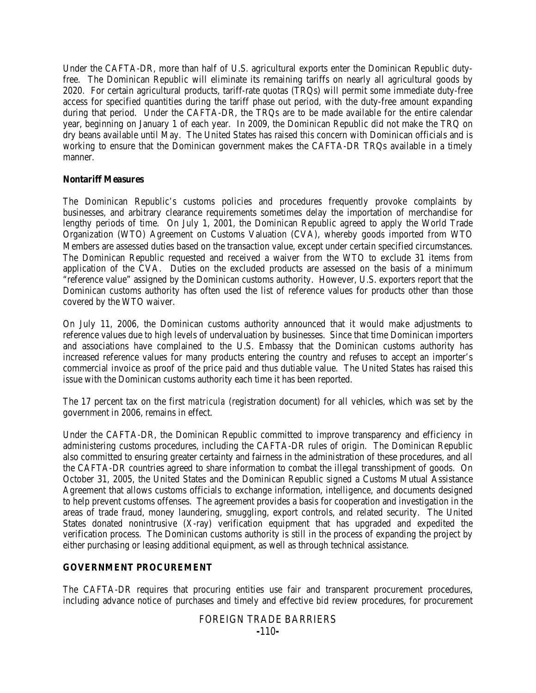Under the CAFTA-DR, more than half of U.S. agricultural exports enter the Dominican Republic dutyfree. The Dominican Republic will eliminate its remaining tariffs on nearly all agricultural goods by 2020. For certain agricultural products, tariff-rate quotas (TRQs) will permit some immediate duty-free access for specified quantities during the tariff phase out period, with the duty-free amount expanding during that period. Under the CAFTA-DR, the TRQs are to be made available for the entire calendar year, beginning on January 1 of each year. In 2009, the Dominican Republic did not make the TRQ on dry beans available until May. The United States has raised this concern with Dominican officials and is working to ensure that the Dominican government makes the CAFTA-DR TRQs available in a timely manner.

#### **Nontariff Measures**

The Dominican Republic's customs policies and procedures frequently provoke complaints by businesses, and arbitrary clearance requirements sometimes delay the importation of merchandise for lengthy periods of time. On July 1, 2001, the Dominican Republic agreed to apply the World Trade Organization (WTO) Agreement on Customs Valuation (CVA), whereby goods imported from WTO Members are assessed duties based on the transaction value, except under certain specified circumstances. The Dominican Republic requested and received a waiver from the WTO to exclude 31 items from application of the CVA. Duties on the excluded products are assessed on the basis of a minimum "reference value" assigned by the Dominican customs authority. However, U.S. exporters report that the Dominican customs authority has often used the list of reference values for products other than those covered by the WTO waiver.

On July 11, 2006, the Dominican customs authority announced that it would make adjustments to reference values due to high levels of undervaluation by businesses. Since that time Dominican importers and associations have complained to the U.S. Embassy that the Dominican customs authority has increased reference values for many products entering the country and refuses to accept an importer's commercial invoice as proof of the price paid and thus dutiable value. The United States has raised this issue with the Dominican customs authority each time it has been reported.

The 17 percent tax on the first *matricula* (registration document) for all vehicles, which was set by the government in 2006, remains in effect.

Under the CAFTA-DR, the Dominican Republic committed to improve transparency and efficiency in administering customs procedures, including the CAFTA-DR rules of origin. The Dominican Republic also committed to ensuring greater certainty and fairness in the administration of these procedures, and all the CAFTA-DR countries agreed to share information to combat the illegal transshipment of goods. On October 31, 2005, the United States and the Dominican Republic signed a Customs Mutual Assistance Agreement that allows customs officials to exchange information, intelligence, and documents designed to help prevent customs offenses. The agreement provides a basis for cooperation and investigation in the areas of trade fraud, money laundering, smuggling, export controls, and related security. The United States donated nonintrusive (X-ray) verification equipment that has upgraded and expedited the verification process. The Dominican customs authority is still in the process of expanding the project by either purchasing or leasing additional equipment, as well as through technical assistance.

#### **GOVERNMENT PROCUREMENT**

The CAFTA-DR requires that procuring entities use fair and transparent procurement procedures, including advance notice of purchases and timely and effective bid review procedures, for procurement

## FOREIGN TRADE BARRIERS